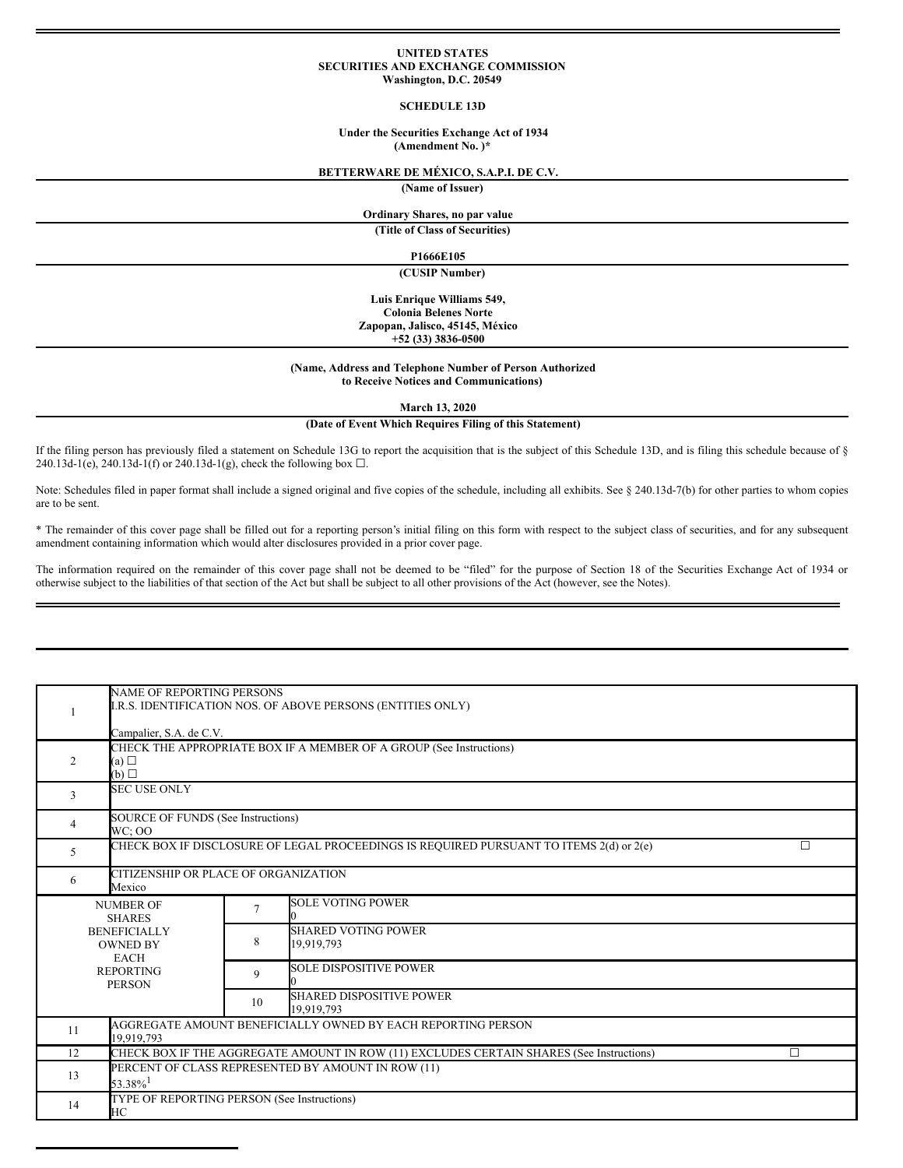## **UNITED STATES SECURITIES AND EXCHANGE COMMISSION Washington, D.C. 20549**

# **SCHEDULE 13D**

# **Under the Securities Exchange Act of 1934 (Amendment No. )\***

# **BETTERWARE DE MÉXICO, S.A.P.I. DE C.V.**

**(Name of Issuer)**

# **Ordinary Shares, no par value**

**(Title of Class of Securities)**

### **P1666E105**

**(CUSIP Number)**

**Luis Enrique Williams 549, Colonia Belenes Norte Zapopan, Jalisco, 45145, México +52 (33) 3836-0500**

### **(Name, Address and Telephone Number of Person Authorized to Receive Notices and Communications)**

**March 13, 2020**

# **(Date of Event Which Requires Filing of this Statement)**

If the filing person has previously filed a statement on Schedule 13G to report the acquisition that is the subject of this Schedule 13D, and is filing this schedule because of § 240.13d-1(e), 240.13d-1(f) or 240.13d-1(g), check the following box  $\Box$ .

Note: Schedules filed in paper format shall include a signed original and five copies of the schedule, including all exhibits. See § 240.13d-7(b) for other parties to whom copies are to be sent.

\* The remainder of this cover page shall be filled out for a reporting person's initial filing on this form with respect to the subject class of securities, and for any subsequent amendment containing information which would alter disclosures provided in a prior cover page.

The information required on the remainder of this cover page shall not be deemed to be "filed" for the purpose of Section 18 of the Securities Exchange Act of 1934 or otherwise subject to the liabilities of that section of the Act but shall be subject to all other provisions of the Act (however, see the Notes).

|                                                                                                                                 | <b>NAME OF REPORTING PERSONS</b><br>I.R.S. IDENTIFICATION NOS. OF ABOVE PERSONS (ENTITIES ONLY) |                |                                                                                          |   |  |  |  |
|---------------------------------------------------------------------------------------------------------------------------------|-------------------------------------------------------------------------------------------------|----------------|------------------------------------------------------------------------------------------|---|--|--|--|
|                                                                                                                                 | Campalier, S.A. de C.V.                                                                         |                |                                                                                          |   |  |  |  |
| 2                                                                                                                               | CHECK THE APPROPRIATE BOX IF A MEMBER OF A GROUP (See Instructions)<br>(a)<br>(b)               |                |                                                                                          |   |  |  |  |
| 3                                                                                                                               | <b>SEC USE ONLY</b>                                                                             |                |                                                                                          |   |  |  |  |
| 4                                                                                                                               | <b>SOURCE OF FUNDS (See Instructions)</b><br><b>WC: OO</b>                                      |                |                                                                                          |   |  |  |  |
| 5                                                                                                                               | CHECK BOX IF DISCLOSURE OF LEGAL PROCEEDINGS IS REQUIRED PURSUANT TO ITEMS 2(d) or 2(e)<br>□    |                |                                                                                          |   |  |  |  |
| 6                                                                                                                               | CITIZENSHIP OR PLACE OF ORGANIZATION<br>Mexico                                                  |                |                                                                                          |   |  |  |  |
| <b>NUMBER OF</b><br><b>SHARES</b><br><b>BENEFICIALLY</b><br><b>OWNED BY</b><br><b>EACH</b><br><b>REPORTING</b><br><b>PERSON</b> |                                                                                                 | $\overline{7}$ | <b>SOLE VOTING POWER</b>                                                                 |   |  |  |  |
|                                                                                                                                 |                                                                                                 | 8              | <b>SHARED VOTING POWER</b><br>19,919,793                                                 |   |  |  |  |
|                                                                                                                                 |                                                                                                 | 9              | <b>SOLE DISPOSITIVE POWER</b>                                                            |   |  |  |  |
|                                                                                                                                 |                                                                                                 | 10             | <b>SHARED DISPOSITIVE POWER</b><br>19.919.793                                            |   |  |  |  |
| 11                                                                                                                              | AGGREGATE AMOUNT BENEFICIALLY OWNED BY EACH REPORTING PERSON<br>19.919.793                      |                |                                                                                          |   |  |  |  |
| 12                                                                                                                              |                                                                                                 |                | CHECK BOX IF THE AGGREGATE AMOUNT IN ROW (11) EXCLUDES CERTAIN SHARES (See Instructions) | П |  |  |  |
| 13                                                                                                                              | PERCENT OF CLASS REPRESENTED BY AMOUNT IN ROW (11)<br>$53.38\%$ <sup>1</sup>                    |                |                                                                                          |   |  |  |  |
| 14                                                                                                                              | TYPE OF REPORTING PERSON (See Instructions)<br>HС                                               |                |                                                                                          |   |  |  |  |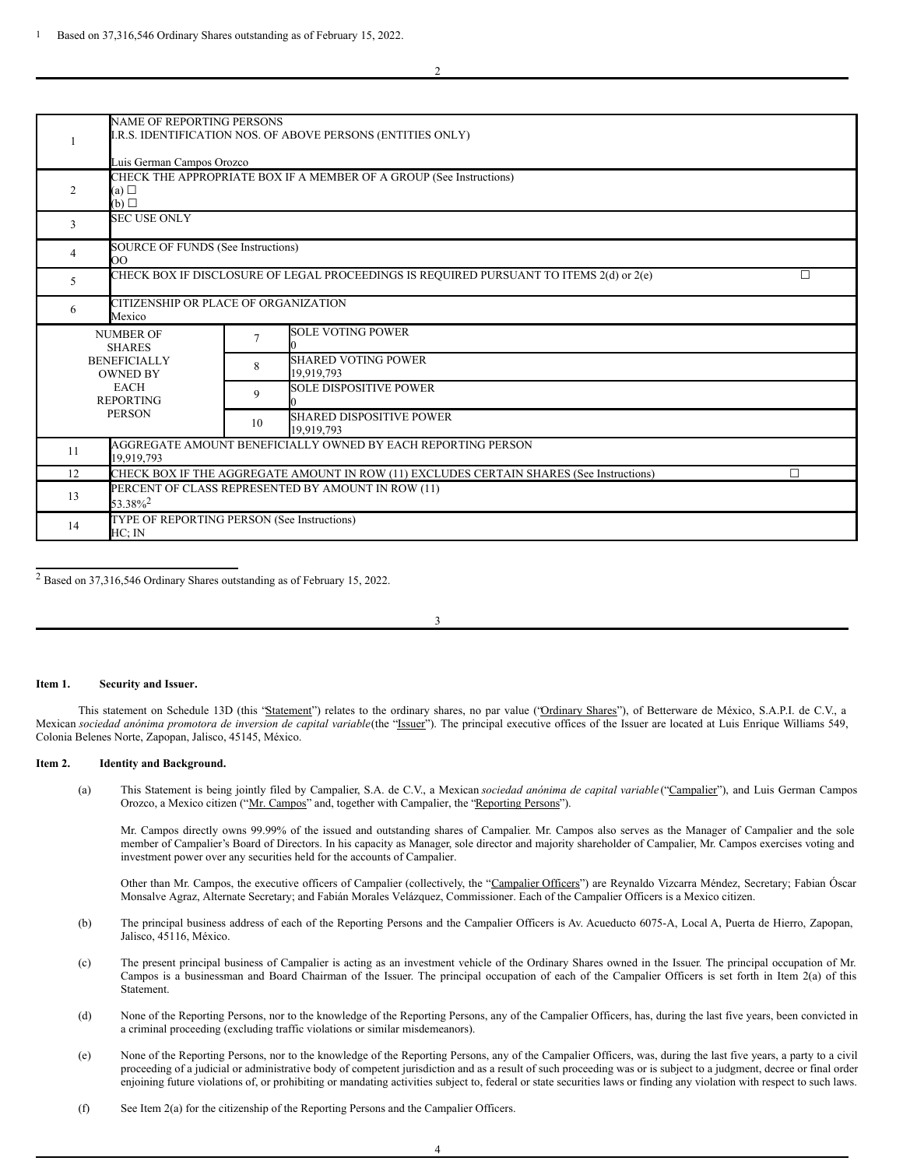|                                                  | <b>NAME OF REPORTING PERSONS</b><br>I.R.S. IDENTIFICATION NOS. OF ABOVE PERSONS (ENTITIES ONLY)   |                                                                                                    |                                                              |  |  |  |  |
|--------------------------------------------------|---------------------------------------------------------------------------------------------------|----------------------------------------------------------------------------------------------------|--------------------------------------------------------------|--|--|--|--|
|                                                  | Luis German Campos Orozco                                                                         |                                                                                                    |                                                              |  |  |  |  |
| $\overline{2}$                                   | CHECK THE APPROPRIATE BOX IF A MEMBER OF A GROUP (See Instructions)<br>(a)<br>(b)                 |                                                                                                    |                                                              |  |  |  |  |
| 3                                                | <b>SEC USE ONLY</b>                                                                               |                                                                                                    |                                                              |  |  |  |  |
| 4                                                | <b>SOURCE OF FUNDS (See Instructions)</b><br>OO                                                   |                                                                                                    |                                                              |  |  |  |  |
| 5                                                | CHECK BOX IF DISCLOSURE OF LEGAL PROCEEDINGS IS REQUIRED PURSUANT TO ITEMS 2(d) or 2(e)<br>$\Box$ |                                                                                                    |                                                              |  |  |  |  |
| 6                                                | CITIZENSHIP OR PLACE OF ORGANIZATION<br>Mexico                                                    |                                                                                                    |                                                              |  |  |  |  |
|                                                  | <b>NUMBER OF</b><br><b>SHARES</b><br><b>BENEFICIALLY</b><br><b>OWNED BY</b>                       |                                                                                                    | <b>SOLE VOTING POWER</b>                                     |  |  |  |  |
|                                                  |                                                                                                   |                                                                                                    | <b>SHARED VOTING POWER</b><br>19,919,793                     |  |  |  |  |
| <b>EACH</b><br><b>REPORTING</b><br><b>PERSON</b> |                                                                                                   | 9                                                                                                  | <b>SOLE DISPOSITIVE POWER</b>                                |  |  |  |  |
|                                                  |                                                                                                   | 10                                                                                                 | <b>SHARED DISPOSITIVE POWER</b><br>19,919,793                |  |  |  |  |
| 11                                               | 19,919,793                                                                                        |                                                                                                    | AGGREGATE AMOUNT BENEFICIALLY OWNED BY EACH REPORTING PERSON |  |  |  |  |
| 12                                               |                                                                                                   | CHECK BOX IF THE AGGREGATE AMOUNT IN ROW (11) EXCLUDES CERTAIN SHARES (See Instructions)<br>$\Box$ |                                                              |  |  |  |  |
| 13                                               | PERCENT OF CLASS REPRESENTED BY AMOUNT IN ROW (11)<br>53.38% <sup>2</sup>                         |                                                                                                    |                                                              |  |  |  |  |
| 14                                               | TYPE OF REPORTING PERSON (See Instructions)<br>HC: IN                                             |                                                                                                    |                                                              |  |  |  |  |

<sup>2</sup> Based on 37,316,546 Ordinary Shares outstanding as of February 15, 2022.

3

#### **Item 1. Security and Issuer.**

This statement on Schedule 13D (this "Statement") relates to the ordinary shares, no par value ('Ordinary Shares''), of Betterware de México, S.A.P.I. de C.V., a Mexican sociedad anónima promotora de inversion de capital variable(the "Issuer"). The principal executive offices of the Issuer are located at Luis Enrique Williams 549, Colonia Belenes Norte, Zapopan, Jalisco, 45145, México.

# **Item 2. Identity and Background.**

(a) This Statement is being jointly filed by Campalier, S.A. de C.V., a Mexican *sociedad anónima de capital variable* ("Campalier"), and Luis German Campos Orozco, a Mexico citizen ("Mr. Campos" and, together with Campalier, the "Reporting Persons").

Mr. Campos directly owns 99.99% of the issued and outstanding shares of Campalier. Mr. Campos also serves as the Manager of Campalier and the sole member of Campalier's Board of Directors. In his capacity as Manager, sole director and majority shareholder of Campalier, Mr. Campos exercises voting and investment power over any securities held for the accounts of Campalier.

Other than Mr. Campos, the executive officers of Campalier (collectively, the "Campalier Officers") are Reynaldo Vizcarra Méndez, Secretary; Fabian Óscar Monsalve Agraz, Alternate Secretary; and Fabián Morales Velázquez, Commissioner. Each of the Campalier Officers is a Mexico citizen.

- (b) The principal business address of each of the Reporting Persons and the Campalier Officers is Av. Acueducto 6075-A, Local A, Puerta de Hierro, Zapopan, Jalisco, 45116, México.
- (c) The present principal business of Campalier is acting as an investment vehicle of the Ordinary Shares owned in the Issuer. The principal occupation of Mr. Campos is a businessman and Board Chairman of the Issuer. The principal occupation of each of the Campalier Officers is set forth in Item 2(a) of this Statement.
- (d) None of the Reporting Persons, nor to the knowledge of the Reporting Persons, any of the Campalier Officers, has, during the last five years, been convicted in a criminal proceeding (excluding traffic violations or similar misdemeanors).
- (e) None of the Reporting Persons, nor to the knowledge of the Reporting Persons, any of the Campalier Officers, was, during the last five years, a party to a civil proceeding of a judicial or administrative body of competent jurisdiction and as a result of such proceeding was or is subject to a judgment, decree or final order enjoining future violations of, or prohibiting or mandating activities subject to, federal or state securities laws or finding any violation with respect to such laws.
- (f) See Item 2(a) for the citizenship of the Reporting Persons and the Campalier Officers.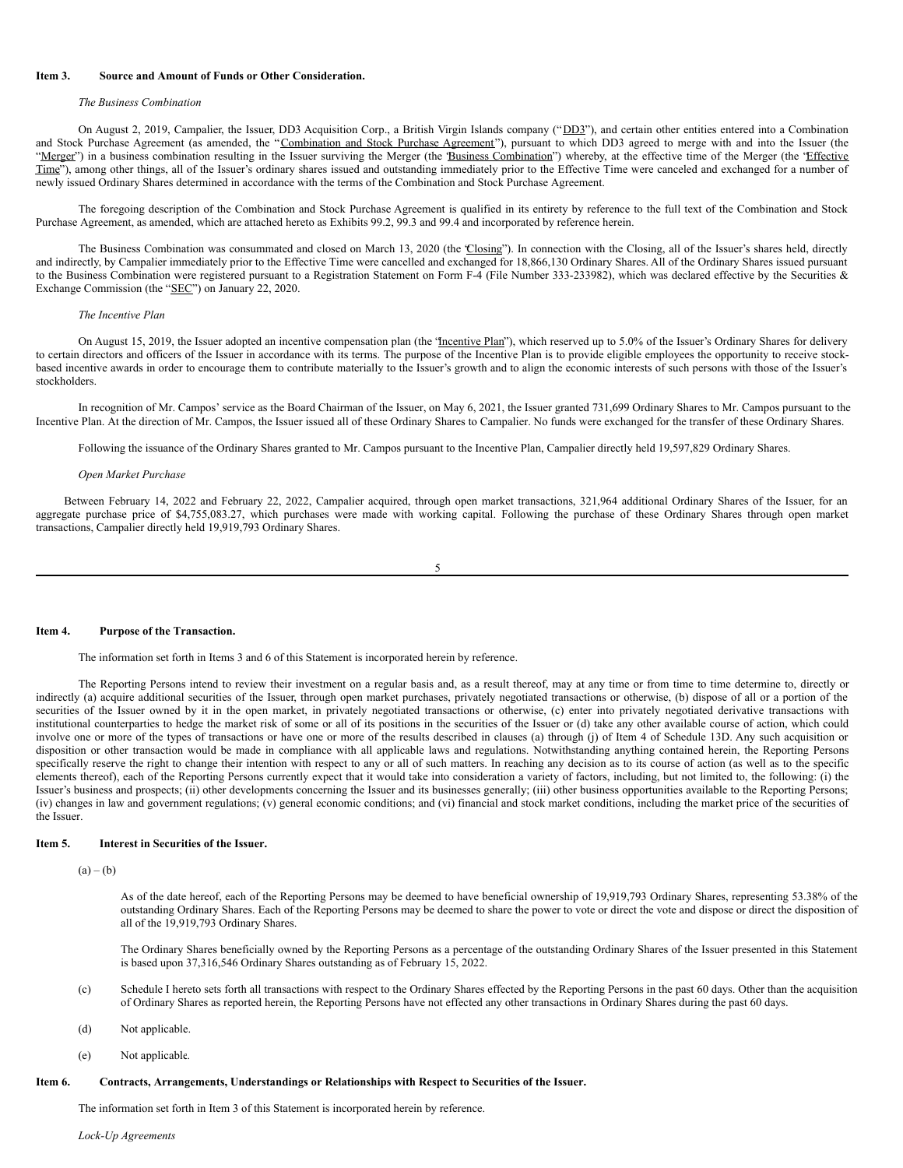# **Item 3. Source and Amount of Funds or Other Consideration.**

### *The Business Combination*

On August 2, 2019, Campalier, the Issuer, DD3 Acquisition Corp., a British Virgin Islands company ("DD3"), and certain other entities entered into a Combination and Stock Purchase Agreement (as amended, the "Combination and Stock Purchase Agreement"), pursuant to which DD3 agreed to merge with and into the Issuer (the "Merger") in a business combination resulting in the Issuer surviving the Merger (the *Business Combination*") whereby, at the effective time of the Merger (the 'Effective Time"), among other things, all of the Issuer's ordinary shares issued and outstanding immediately prior to the Effective Time were canceled and exchanged for a number of newly issued Ordinary Shares determined in accordance with the terms of the Combination and Stock Purchase Agreement.

The foregoing description of the Combination and Stock Purchase Agreement is qualified in its entirety by reference to the full text of the Combination and Stock Purchase Agreement, as amended, which are attached hereto as Exhibits 99.2, 99.3 and 99.4 and incorporated by reference herein.

The Business Combination was consummated and closed on March 13, 2020 (the 'Closing'). In connection with the Closing, all of the Issuer's shares held, directly and indirectly, by Campalier immediately prior to the Effective Time were cancelled and exchanged for 18,866,130 Ordinary Shares. All of the Ordinary Shares issued pursuant to the Business Combination were registered pursuant to a Registration Statement on Form F-4 (File Number 333-233982), which was declared effective by the Securities & Exchange Commission (the "SEC") on January 22, 2020.

## *The Incentive Plan*

On August 15, 2019, the Issuer adopted an incentive compensation plan (the 'Incentive Plan"), which reserved up to 5.0% of the Issuer's Ordinary Shares for delivery to certain directors and officers of the Issuer in accordance with its terms. The purpose of the Incentive Plan is to provide eligible employees the opportunity to receive stockbased incentive awards in order to encourage them to contribute materially to the Issuer's growth and to align the economic interests of such persons with those of the Issuer's stockholders.

In recognition of Mr. Campos' service as the Board Chairman of the Issuer, on May 6, 2021, the Issuer granted 731,699 Ordinary Shares to Mr. Campos pursuant to the Incentive Plan. At the direction of Mr. Campos, the Issuer issued all of these Ordinary Shares to Campalier. No funds were exchanged for the transfer of these Ordinary Shares.

Following the issuance of the Ordinary Shares granted to Mr. Campos pursuant to the Incentive Plan, Campalier directly held 19,597,829 Ordinary Shares.

#### *Open Market Purchase*

Between February 14, 2022 and February 22, 2022, Campalier acquired, through open market transactions, 321,964 additional Ordinary Shares of the Issuer, for an aggregate purchase price of \$4,755,083.27, which purchases were made with working capital. Following the purchase of these Ordinary Shares through open market transactions, Campalier directly held 19,919,793 Ordinary Shares.

$$
5\phantom{.0}
$$

#### **Item 4. Purpose of the Transaction.**

The information set forth in Items 3 and 6 of this Statement is incorporated herein by reference.

The Reporting Persons intend to review their investment on a regular basis and, as a result thereof, may at any time or from time to time determine to, directly or indirectly (a) acquire additional securities of the Issuer, through open market purchases, privately negotiated transactions or otherwise, (b) dispose of all or a portion of the securities of the Issuer owned by it in the open market, in privately negotiated transactions or otherwise, (c) enter into privately negotiated derivative transactions with institutional counterparties to hedge the market risk of some or all of its positions in the securities of the Issuer or (d) take any other available course of action, which could involve one or more of the types of transactions or have one or more of the results described in clauses (a) through (j) of Item 4 of Schedule 13D. Any such acquisition or disposition or other transaction would be made in compliance with all applicable laws and regulations. Notwithstanding anything contained herein, the Reporting Persons specifically reserve the right to change their intention with respect to any or all of such matters. In reaching any decision as to its course of action (as well as to the specific elements thereof), each of the Reporting Persons currently expect that it would take into consideration a variety of factors, including, but not limited to, the following: (i) the Issuer's business and prospects; (ii) other developments concerning the Issuer and its businesses generally; (iii) other business opportunities available to the Reporting Persons; (iv) changes in law and government regulations; (v) general economic conditions; and (vi) financial and stock market conditions, including the market price of the securities of the Issuer.

### **Item 5. Interest in Securities of the Issuer.**

 $(a) - (b)$ 

As of the date hereof, each of the Reporting Persons may be deemed to have beneficial ownership of 19,919,793 Ordinary Shares, representing 53.38% of the outstanding Ordinary Shares. Each of the Reporting Persons may be deemed to share the power to vote or direct the vote and dispose or direct the disposition of all of the 19,919,793 Ordinary Shares.

The Ordinary Shares beneficially owned by the Reporting Persons as a percentage of the outstanding Ordinary Shares of the Issuer presented in this Statement is based upon 37,316,546 Ordinary Shares outstanding as of February 15, 2022.

- (c) Schedule I hereto sets forth all transactions with respect to the Ordinary Shares effected by the Reporting Persons in the past 60 days. Other than the acquisition of Ordinary Shares as reported herein, the Reporting Persons have not effected any other transactions in Ordinary Shares during the past 60 days.
- (d) Not applicable.
- (e) Not applicable.

#### **Item 6. Contracts, Arrangements, Understandings or Relationships with Respect to Securities of the Issuer.**

The information set forth in Item 3 of this Statement is incorporated herein by reference.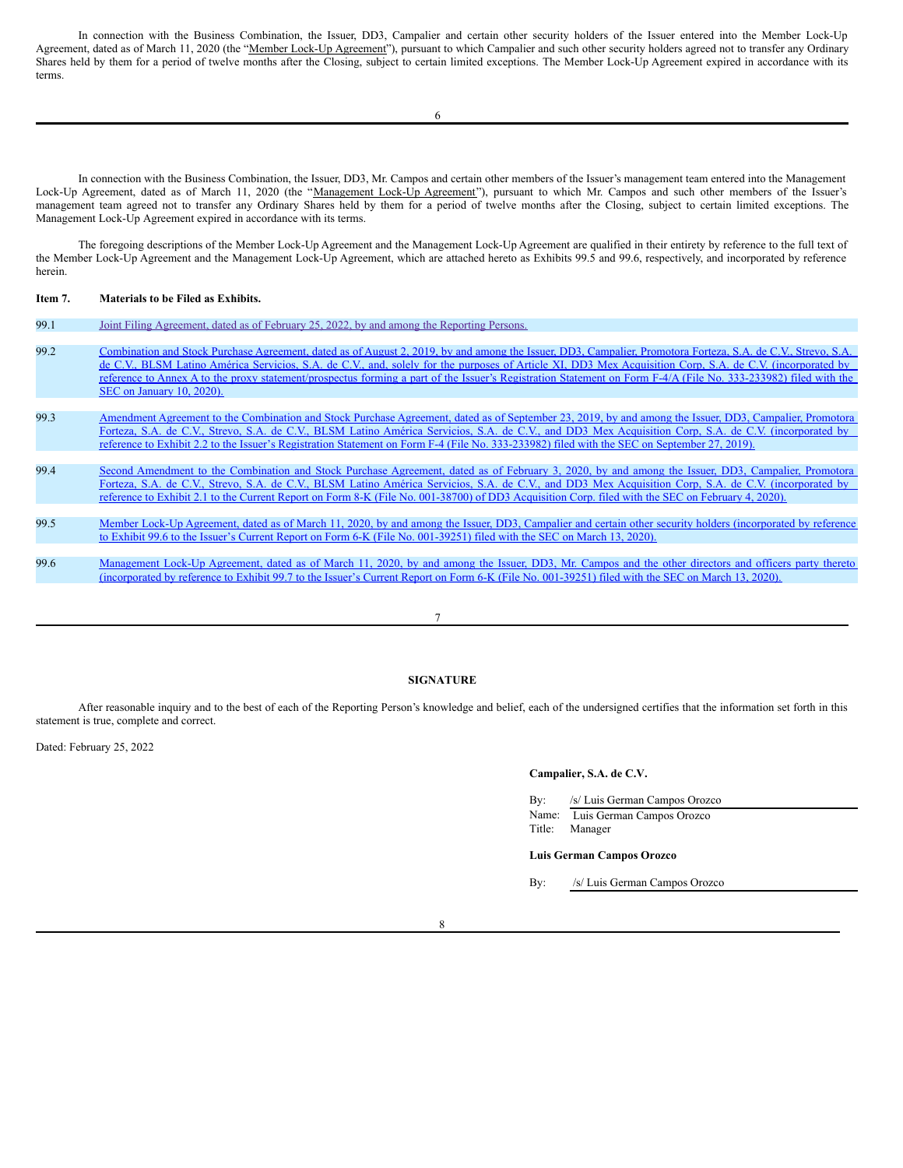In connection with the Business Combination, the Issuer, DD3, Campalier and certain other security holders of the Issuer entered into the Member Lock-Up Agreement, dated as of March 11, 2020 (the "Member Lock-Up Agreement"), pursuant to which Campalier and such other security holders agreed not to transfer any Ordinary Shares held by them for a period of twelve months after the Closing, subject to certain limited exceptions. The Member Lock-Up Agreement expired in accordance with its terms.

In connection with the Business Combination, the Issuer, DD3, Mr. Campos and certain other members of the Issuer's management team entered into the Management Lock-Up Agreement, dated as of March 11, 2020 (the "Management Lock-Up Agreement"), pursuant to which Mr. Campos and such other members of the Issuer's management team agreed not to transfer any Ordinary Shares held by them for a period of twelve months after the Closing, subject to certain limited exceptions. The Management Lock-Up Agreement expired in accordance with its terms.

The foregoing descriptions of the Member Lock-Up Agreement and the Management Lock-Up Agreement are qualified in their entirety by reference to the full text of the Member Lock-Up Agreement and the Management Lock-Up Agreement, which are attached hereto as Exhibits 99.5 and 99.6, respectively, and incorporated by reference herein.

# **Item 7. Materials to be Filed as Exhibits.**

| 99.1 | Joint Filing Agreement, dated as of February 25, 2022, by and among the Reporting Persons.                                                                      |
|------|-----------------------------------------------------------------------------------------------------------------------------------------------------------------|
|      |                                                                                                                                                                 |
| 99.2 | Combination and Stock Purchase Agreement, dated as of August 2, 2019, by and among the Issuer, DD3, Campalier, Promotora Forteza, S.A. de C.V., Strevo, S.A.    |
|      | de C.V., BLSM Latino América Servicios, S.A. de C.V., and, solely for the purposes of Article XI, DD3 Mex Acquisition Corp, S.A. de C.V. (incorporated by       |
|      | reference to Annex A to the proxy statement/prospectus forming a part of the Issuer's Registration Statement on Form F-4/A (File No. 333-233982) filed with the |
|      | SEC on January 10, 2020).                                                                                                                                       |
|      |                                                                                                                                                                 |
| 99.3 | Amendment Agreement to the Combination and Stock Purchase Agreement, dated as of September 23, 2019, by and among the Issuer, DD3, Campalier, Promotora         |
|      | Forteza, S.A. de C.V., Strevo, S.A. de C.V., BLSM Latino América Servicios, S.A. de C.V., and DD3 Mex Acquisition Corp, S.A. de C.V. (incorporated by           |
|      | reference to Exhibit 2.2 to the Issuer's Registration Statement on Form F-4 (File No. 333-233982) filed with the SEC on September 27, 2019).                    |
|      |                                                                                                                                                                 |
| 99.4 | Second Amendment to the Combination and Stock Purchase Agreement, dated as of February 3, 2020, by and among the Issuer, DD3, Campalier, Promotora              |
|      | Forteza, S.A. de C.V., Strevo, S.A. de C.V., BLSM Latino América Servicios, S.A. de C.V., and DD3 Mex Acquisition Corp, S.A. de C.V. (incorporated by           |
|      | reference to Exhibit 2.1 to the Current Report on Form 8-K (File No. 001-38700) of DD3 Acquisition Corp. filed with the SEC on February 4, 2020).               |
|      |                                                                                                                                                                 |
| 99.5 | Member Lock-Up Agreement, dated as of March 11, 2020, by and among the Issuer, DD3, Campalier and certain other security holders (incorporated by reference     |
|      | to Exhibit 99.6 to the Issuer's Current Report on Form 6-K (File No. 001-39251) filed with the SEC on March 13, 2020).                                          |
|      |                                                                                                                                                                 |
| 99.6 | Management Lock-Up Agreement, dated as of March 11, 2020, by and among the Issuer, DD3, Mr. Campos and the other directors and officers party thereto           |
|      | (incorporated by reference to Exhibit 99.7 to the Issuer's Current Report on Form 6-K (File No. 001-39251) filed with the SEC on March 13, 2020).               |
|      |                                                                                                                                                                 |
|      |                                                                                                                                                                 |

### 7

# **SIGNATURE**

After reasonable inquiry and to the best of each of the Reporting Person's knowledge and belief, each of the undersigned certifies that the information set forth in this statement is true, complete and correct.

Dated: February 25, 2022

#### **Campalier, S.A. de C.V.**

| $\rm\,By:$ | /s/ Luis German Campos Orozco   |
|------------|---------------------------------|
|            | Name: Luis German Campos Orozco |
|            | Title: Manager                  |

#### **Luis German Campos Orozco**

By: /s/ Luis German Campos Orozco

8